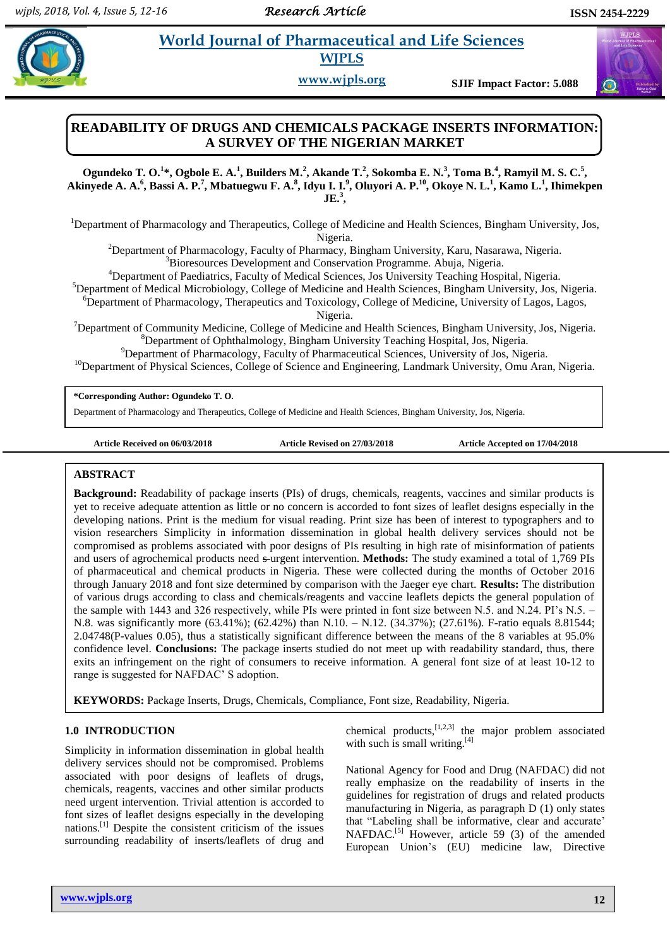# **Property and Morld Journal of Pharmaceutical and Life Sciences WJPLS**

**www.wjpls.org SJIF Impact Factor: 5.088**

## **READABILITY OF DRUGS AND CHEMICALS PACKAGE INSERTS INFORMATION: A SURVEY OF THE NIGERIAN MARKET**

Ogundeko T. O.<sup>1</sup>\*, Ogbole E. A.<sup>1</sup>, Builders M.<sup>2</sup>, Akande T.<sup>2</sup>, Sokomba E. N.<sup>3</sup>, Toma B.<sup>4</sup>, Ramyil M. S. C.<sup>5</sup>, Akinyede A. A.<sup>6</sup>, Bassi A. P.<sup>7</sup>, Mbatuegwu F. A.<sup>8</sup>, Idyu I. I.<sup>9</sup>, Oluyori A. P.<sup>10</sup>, Okoye N. L.<sup>1</sup>, Kamo L.<sup>1</sup>, Ihimekpen **JE. 3 ,**

<sup>1</sup>Department of Pharmacology and Therapeutics, College of Medicine and Health Sciences, Bingham University, Jos, Nigeria.

<sup>2</sup>Department of Pharmacology, Faculty of Pharmacy, Bingham University, Karu, Nasarawa, Nigeria. <sup>3</sup>Bioresources Development and Conservation Programme. Abuja, Nigeria.

<sup>4</sup>Department of Paediatrics, Faculty of Medical Sciences, Jos University Teaching Hospital, Nigeria.

<sup>5</sup>Department of Medical Microbiology, College of Medicine and Health Sciences, Bingham University, Jos, Nigeria.

<sup>6</sup>Department of Pharmacology, Therapeutics and Toxicology, College of Medicine, University of Lagos, Lagos, Nigeria.

 $<sup>7</sup>$ Department of Community Medicine, College of Medicine and Health Sciences, Bingham University, Jos, Nigeria.</sup> <sup>8</sup>Department of Ophthalmology, Bingham University Teaching Hospital, Jos, Nigeria.

<sup>9</sup>Department of Pharmacology, Faculty of Pharmaceutical Sciences, University of Jos, Nigeria.

 $10$ Department of Physical Sciences, College of Science and Engineering, Landmark University, Omu Aran, Nigeria.

**\*Corresponding Author: Ogundeko T. O.**

Department of Pharmacology and Therapeutics, College of Medicine and Health Sciences, Bingham University, Jos, Nigeria.

**Article Received on 06/03/2018 Article Revised on 27/03/2018 Article Accepted on 17/04/2018**

#### [1] **ABSTRACT**

**Background:** Readability of package inserts (PIs) of drugs, chemicals, reagents, vaccines and similar products is yet to receive adequate attention as little or no concern is accorded to font sizes of leaflet designs especially in the developing nations. Print is the medium for visual reading. Print size has been of interest to typographers and to vision researchers Simplicity in information dissemination in global health delivery services should not be compromised as problems associated with poor designs of PIs resulting in high rate of misinformation of patients and users of agrochemical products need s-urgent intervention. **Methods:** The study examined a total of 1,769 PIs of pharmaceutical and chemical products in Nigeria. These were collected during the months of October 2016 through January 2018 and font size determined by comparison with the Jaeger eye chart. **Results:** The distribution of various drugs according to class and chemicals/reagents and vaccine leaflets depicts the general population of the sample with 1443 and 326 respectively, while PIs were printed in font size between N.5. and N.24. PI's N.5. – N.8. was significantly more (63.41%); (62.42%) than N.10. – N.12. (34.37%); (27.61%). F-ratio equals 8.81544; 2.04748(P-values 0.05), thus a statistically significant difference between the means of the 8 variables at 95.0% confidence level. **Conclusions:** The package inserts studied do not meet up with readability standard, thus, there exits an infringement on the right of consumers to receive information. A general font size of at least 10-12 to range is suggested for NAFDAC' S adoption.

**KEYWORDS:** Package Inserts, Drugs, Chemicals, Compliance, Font size, Readability, Nigeria.

## **1.0 INTRODUCTION**

Simplicity in information dissemination in global health delivery services should not be compromised. Problems associated with poor designs of leaflets of drugs, chemicals, reagents, vaccines and other similar products need urgent intervention. Trivial attention is accorded to font sizes of leaflet designs especially in the developing nations. [1] Despite the consistent criticism of the issues surrounding readability of inserts/leaflets of drug and

chemical products,  $[1,2,3]$  the major problem associated with such is small writing. $[4]$ 

National Agency for Food and Drug (NAFDAC) did not really emphasize on the readability of inserts in the guidelines for registration of drugs and related products manufacturing in Nigeria, as paragraph D (1) only states that "Labeling shall be informative, clear and accurate' NAFDAC.<sup>[5]</sup> However, article 59 (3) of the amended European Union's (EU) medicine law, Directive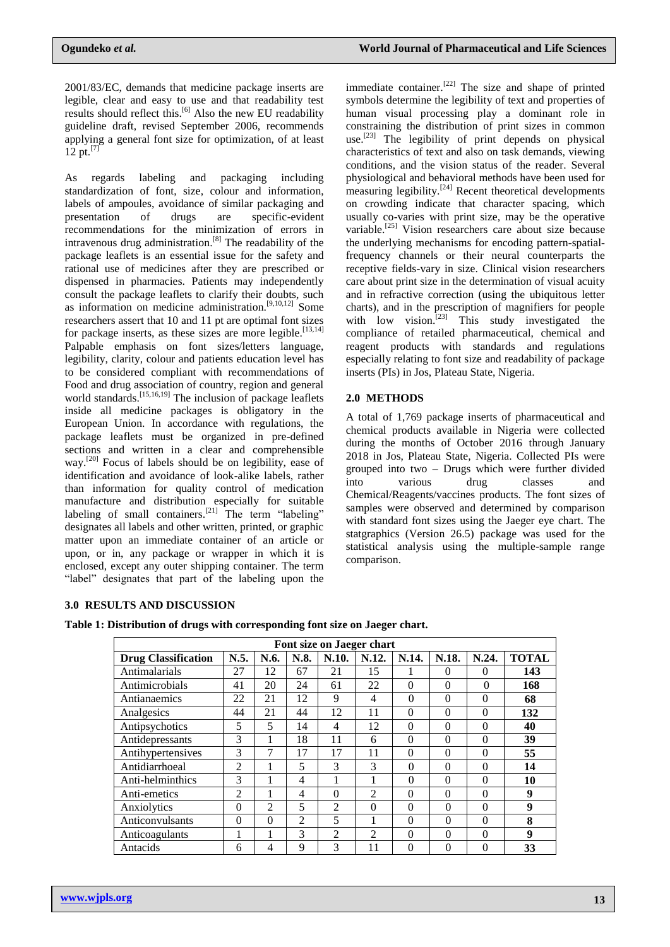2001/83/EC, demands that medicine package inserts are legible, clear and easy to use and that readability test results should reflect this.<sup>[6]</sup> Also the new EU readability guideline draft, revised September 2006, recommends applying a general font size for optimization, of at least  $12 \text{ pt.}^{17}$ 

As regards labeling and packaging including standardization of font, size, colour and information, labels of ampoules, avoidance of similar packaging and presentation of drugs are specific-evident recommendations for the minimization of errors in intravenous drug administration.<sup>[8]</sup> The readability of the package leaflets is an essential issue for the safety and rational use of medicines after they are prescribed or dispensed in pharmacies. Patients may independently consult the package leaflets to clarify their doubts, such as information on medicine administration.<sup>[9,10,12]</sup> Some researchers assert that 10 and 11 pt are optimal font sizes for package inserts, as these sizes are more legible.<sup>[13,14]</sup> Palpable emphasis on font sizes/letters language, legibility, clarity, colour and patients education level has to be considered compliant with recommendations of Food and drug association of country, region and general world standards.<sup>[15,16,19]</sup> The inclusion of package leaflets inside all medicine packages is obligatory in the European Union. In accordance with regulations, the package leaflets must be organized in pre-defined sections and written in a clear and comprehensible way.<sup>[20]</sup> Focus of labels should be on legibility, ease of identification and avoidance of look-alike labels, rather than information for quality control of medication manufacture and distribution especially for suitable labeling of small containers.<sup>[21]</sup> The term "labeling" designates all labels and other written, printed, or graphic matter upon an immediate container of an article or upon, or in, any package or wrapper in which it is enclosed, except any outer shipping container. The term "label" designates that part of the labeling upon the

immediate container.<sup>[22]</sup> The size and shape of printed symbols determine the legibility of text and properties of human visual processing play a dominant role in constraining the distribution of print sizes in common use.<sup>[23]</sup> The legibility of print depends on physical characteristics of text and also on task demands, viewing conditions, and the vision status of the reader. Several physiological and behavioral methods have been used for  $\overline{\text{measuring}}$  legibility.<sup>[24]</sup> Recent theoretical developments on crowding indicate that character spacing, which usually co-varies with print size, may be the operative variable.[25] Vision researchers care about size because the underlying mechanisms for encoding pattern-spatialfrequency channels or their neural counterparts the receptive fields-vary in size. Clinical vision researchers care about print size in the determination of visual acuity and in refractive correction (using the ubiquitous letter charts), and in the prescription of magnifiers for people with low vision.<sup>[23]</sup> This study investigated the compliance of retailed pharmaceutical, chemical and reagent products with standards and regulations especially relating to font size and readability of package inserts (PIs) in Jos, Plateau State, Nigeria.

#### **2.0 METHODS**

A total of 1,769 package inserts of pharmaceutical and chemical products available in Nigeria were collected during the months of October 2016 through January 2018 in Jos, Plateau State, Nigeria. Collected PIs were grouped into two – Drugs which were further divided into various drug classes and Chemical/Reagents/vaccines products. The font sizes of samples were observed and determined by comparison with standard font sizes using the Jaeger eye chart. The statgraphics (Version 26.5) package was used for the statistical analysis using the multiple-sample range comparison.

#### **3.0 RESULTS AND DISCUSSION**

**Table 1: Distribution of drugs with corresponding font size on Jaeger chart.**

| Font size on Jaeger chart  |                |                |                |                             |                |          |          |          |              |
|----------------------------|----------------|----------------|----------------|-----------------------------|----------------|----------|----------|----------|--------------|
| <b>Drug Classification</b> | N.5.           | N.6.           | N.8.           | N.10.                       | N.12.          | N.14.    | N.18.    | N.24.    | <b>TOTAL</b> |
| Antimalarials              | 27             | 12             | 67             | 21                          | 15             |          | $\Omega$ | $\Omega$ | 143          |
| Antimicrobials             | 41             | 20             | 24             | 61                          | 22             | $\theta$ | $\theta$ | $\Omega$ | 168          |
| Antianaemics               | 22             | 21             | 12             | 9                           | 4              | $\theta$ | $\theta$ | $\theta$ | 68           |
| Analgesics                 | 44             | 21             | 44             | 12                          | 11             | $\Omega$ | $\theta$ | $\theta$ | 132          |
| Antipsychotics             | 5              | 5              | 14             | 4                           | 12             | $\Omega$ | $\Omega$ | $\Omega$ | 40           |
| Antidepressants            | 3              | 1              | 18             | 11                          | 6              | $\theta$ | $\theta$ | $\theta$ | 39           |
| Antihypertensives          | 3              | 7              | 17             | 17                          | 11             | $\Omega$ | $\theta$ | $\theta$ | 55           |
| Antidiarrhoeal             | $\overline{2}$ |                | 5              | 3                           | 3              | $\Omega$ | $\theta$ | $\theta$ | 14           |
| Anti-helminthics           | 3              |                | 4              | 1                           | 1              | $\theta$ | $\theta$ | $\theta$ | 10           |
| Anti-emetics               | 2              | H.             | 4              | $\Omega$                    | $\overline{2}$ | $\Omega$ | $\Omega$ | $\theta$ | 9            |
| Anxiolytics                | $\theta$       | $\mathfrak{D}$ | 5              | $\mathcal{D}_{\mathcal{L}}$ | $\Omega$       | $\Omega$ | $\Omega$ | $\theta$ | 9            |
| Anticonvulsants            | 0              | $\theta$       | $\mathfrak{D}$ | $\overline{\phantom{0}}$    | 1              | $\theta$ | $\Omega$ | $\theta$ | 8            |
| Anticoagulants             |                |                | 3              | $\mathfrak{D}$              | $\mathfrak{D}$ | $\theta$ | $\theta$ | $\theta$ | 9            |
| Antacids                   | 6              | 4              | 9              | 3                           | 11             | $\Omega$ | $\Omega$ | $\theta$ | 33           |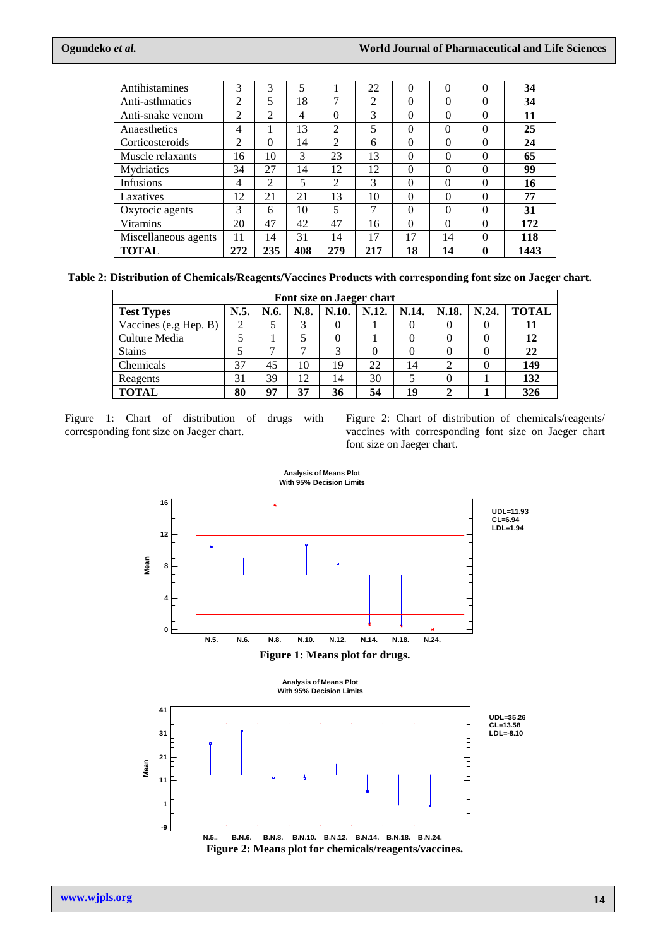| Antihistamines       | 3   | 3              | 5   |                | 22  | $\theta$ | $\theta$ | $\Omega$ | 34   |
|----------------------|-----|----------------|-----|----------------|-----|----------|----------|----------|------|
| Anti-asthmatics      | 2   | 5              | 18  | ⇁              | 2   | 0        | $\Omega$ | $\Omega$ | 34   |
| Anti-snake venom     | 2   | $\overline{2}$ | 4   | $\theta$       | 3   | $\theta$ | $\Omega$ | $\Omega$ | 11   |
| Anaesthetics         | 4   |                | 13  | $\overline{c}$ | 5   | $\theta$ | $\Omega$ | $\Omega$ | 25   |
| Corticosteroids      | 2   | $\Omega$       | 14  | $\overline{2}$ | 6   | $\Omega$ | $\Omega$ | $\Omega$ | 24   |
| Muscle relaxants     | 16  | 10             | 3   | 23             | 13  | $\theta$ | 0        | $\Omega$ | 65   |
| Mydriatics           | 34  | 27             | 14  | 12             | 12  | $\theta$ | 0        | $\Omega$ | 99   |
| Infusions            | 4   | $\overline{c}$ | 5   | 2              | 3   | $\theta$ | 0        | $\Omega$ | 16   |
| Laxatives            | 12  | 21             | 21  | 13             | 10  | $\theta$ | 0        | $\Omega$ | 77   |
| Oxytocic agents      | 3   | 6              | 10  | 5              | 7   | $\theta$ | $\Omega$ | $\Omega$ | 31   |
| <b>Vitamins</b>      | 20  | 47             | 42  | 47             | 16  | $\Omega$ | 0        | $\Omega$ | 172  |
| Miscellaneous agents | 11  | 14             | 31  | 14             | 17  | 17       | 14       | $\Omega$ | 118  |
| TOTAL                | 272 | 235            | 408 | 279            | 217 | 18       | 14       | 0        | 1443 |

| Table 2: Distribution of Chemicals/Reagents/Vaccines Products with corresponding font size on Jaeger chart. |  |  |
|-------------------------------------------------------------------------------------------------------------|--|--|
|                                                                                                             |  |  |
|                                                                                                             |  |  |

| Font size on Jaeger chart |      |      |      |       |       |       |             |       |              |
|---------------------------|------|------|------|-------|-------|-------|-------------|-------|--------------|
| <b>Test Types</b>         | N.5. | N.6. | N.8. | N.10. | N.12. | N.14. | N.18.       | N.24. | <b>TOTAL</b> |
| Vaccines (e.g Hep. B)     | 2    |      | 3    |       |       | 0     | $\theta$    |       |              |
| Culture Media             |      |      |      |       |       |       |             |       | 12           |
| <b>Stains</b>             |      | −    |      | 3     |       | 0     | $\theta$    |       | 22           |
| Chemicals                 | 37   | 45   | 10   | 19    | 22    | 14    | ↑           |       | 149          |
| Reagents                  | 31   | 39   | 12   | 14    | 30    |       | $\theta$    |       | 132          |
| <b>TOTAL</b>              | 80   | 97   | 37   | 36    | 54    | 19    | $\mathbf 2$ |       | 326          |

Figure 1: Chart of distribution of drugs with corresponding font size on Jaeger chart.

Figure 2: Chart of distribution of chemicals/reagents/ vaccines with corresponding font size on Jaeger chart font size on Jaeger chart.



**Figure 2: Means plot for chemicals/reagents/vaccines.**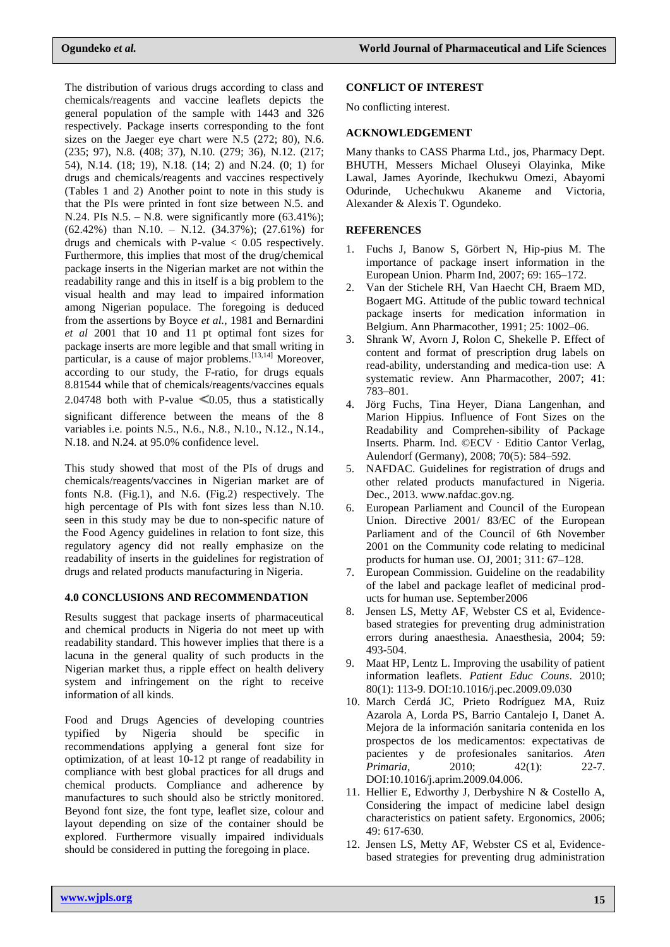The distribution of various drugs according to class and chemicals/reagents and vaccine leaflets depicts the general population of the sample with 1443 and 326 respectively. Package inserts corresponding to the font sizes on the Jaeger eye chart were N.5 (272; 80), N.6. (235; 97), N.8. (408; 37), N.10. (279; 36), N.12. (217; 54), N.14. (18; 19), N.18. (14; 2) and N.24. (0; 1) for drugs and chemicals/reagents and vaccines respectively (Tables 1 and 2) Another point to note in this study is that the PIs were printed in font size between N.5. and N.24. PIs N.5. – N.8. were significantly more  $(63.41\%)$ ; (62.42%) than N.10. – N.12. (34.37%); (27.61%) for drugs and chemicals with P-value  $< 0.05$  respectively. Furthermore, this implies that most of the drug/chemical package inserts in the Nigerian market are not within the readability range and this in itself is a big problem to the visual health and may lead to impaired information among Nigerian populace. The foregoing is deduced from the assertions by Boyce *et al.,* 1981 and Bernardini *et al* 2001 that 10 and 11 pt optimal font sizes for package inserts are more legible and that small writing in particular, is a cause of major problems.<sup>[13,14]</sup> Moreover. according to our study, the F-ratio, for drugs equals 8.81544 while that of chemicals/reagents/vaccines equals 2.04748 both with P-value  $\leq 0.05$ , thus a statistically significant difference between the means of the 8 variables i.e. points N.5., N.6., N.8., N.10., N.12., N.14., N.18. and N.24. at 95.0% confidence level.

This study showed that most of the PIs of drugs and chemicals/reagents/vaccines in Nigerian market are of fonts N.8. (Fig.1), and N.6. (Fig.2) respectively. The high percentage of PIs with font sizes less than N.10. seen in this study may be due to non-specific nature of the Food Agency guidelines in relation to font size, this regulatory agency did not really emphasize on the readability of inserts in the guidelines for registration of drugs and related products manufacturing in Nigeria.

## **4.0 CONCLUSIONS AND RECOMMENDATION**

Results suggest that package inserts of pharmaceutical and chemical products in Nigeria do not meet up with readability standard. This however implies that there is a lacuna in the general quality of such products in the Nigerian market thus, a ripple effect on health delivery system and infringement on the right to receive information of all kinds.

Food and Drugs Agencies of developing countries typified by Nigeria should be specific in recommendations applying a general font size for optimization, of at least 10-12 pt range of readability in compliance with best global practices for all drugs and chemical products. Compliance and adherence by manufactures to such should also be strictly monitored. Beyond font size, the font type, leaflet size, colour and layout depending on size of the container should be explored. Furthermore visually impaired individuals should be considered in putting the foregoing in place.

## **CONFLICT OF INTEREST**

No conflicting interest.

## **ACKNOWLEDGEMENT**

Many thanks to CASS Pharma Ltd., jos, Pharmacy Dept. BHUTH, Messers Michael Oluseyi Olayinka, Mike Lawal, James Ayorinde, Ikechukwu Omezi, Abayomi Odurinde, Uchechukwu Akaneme and Victoria, Alexander & Alexis T. Ogundeko.

## **REFERENCES**

- 1. Fuchs J, Banow S, Görbert N, Hip-pius M. The importance of package insert information in the European Union. Pharm Ind, 2007; 69: 165–172.
- 2. Van der Stichele RH, Van Haecht CH, Braem MD, Bogaert MG. Attitude of the public toward technical package inserts for medication information in Belgium. Ann Pharmacother, 1991; 25: 1002–06.
- 3. Shrank W, Avorn J, Rolon C, Shekelle P. Effect of content and format of prescription drug labels on read-ability, understanding and medica-tion use: A systematic review. Ann Pharmacother, 2007; 41: 783–801.
- 4. Jörg Fuchs, Tina Heyer, Diana Langenhan, and Marion Hippius. Influence of Font Sizes on the Readability and Comprehen-sibility of Package Inserts. Pharm. Ind. ©ECV · Editio Cantor Verlag, Aulendorf (Germany), 2008; 70(5): 584–592.
- 5. NAFDAC. Guidelines for registration of drugs and other related products manufactured in Nigeria. Dec., 2013. www.nafdac.gov.ng.
- 6. European Parliament and Council of the European Union. Directive 2001/ 83/EC of the European Parliament and of the Council of 6th November 2001 on the Community code relating to medicinal products for human use. OJ, 2001; 311: 67–128.
- 7. European Commission. Guideline on the readability of the label and package leaflet of medicinal products for human use. September2006
- 8. Jensen LS, Metty AF, Webster CS et al, Evidencebased strategies for preventing drug administration errors during anaesthesia. Anaesthesia, 2004; 59: 493-504.
- 9. Maat HP, Lentz L. Improving the usability of patient information leaflets. *Patient Educ Couns*. 2010; 80(1): 113-9. DOI:10.1016/j.pec.2009.09.030
- 10. March Cerdá JC, Prieto Rodríguez MA, Ruiz Azarola A, Lorda PS, Barrio Cantalejo I, Danet A. Mejora de la información sanitaria contenida en los prospectos de los medicamentos: expectativas de pacientes y de profesionales sanitarios. *Aten Primaria*, 2010; 42(1): 22-7. DOI:10.1016/j.aprim.2009.04.006.
- 11. Hellier E, Edworthy J, Derbyshire N & Costello A, Considering the impact of medicine label design characteristics on patient safety. Ergonomics, 2006;  $49.617-630$
- 12. Jensen LS, Metty AF, Webster CS et al, Evidencebased strategies for preventing drug administration